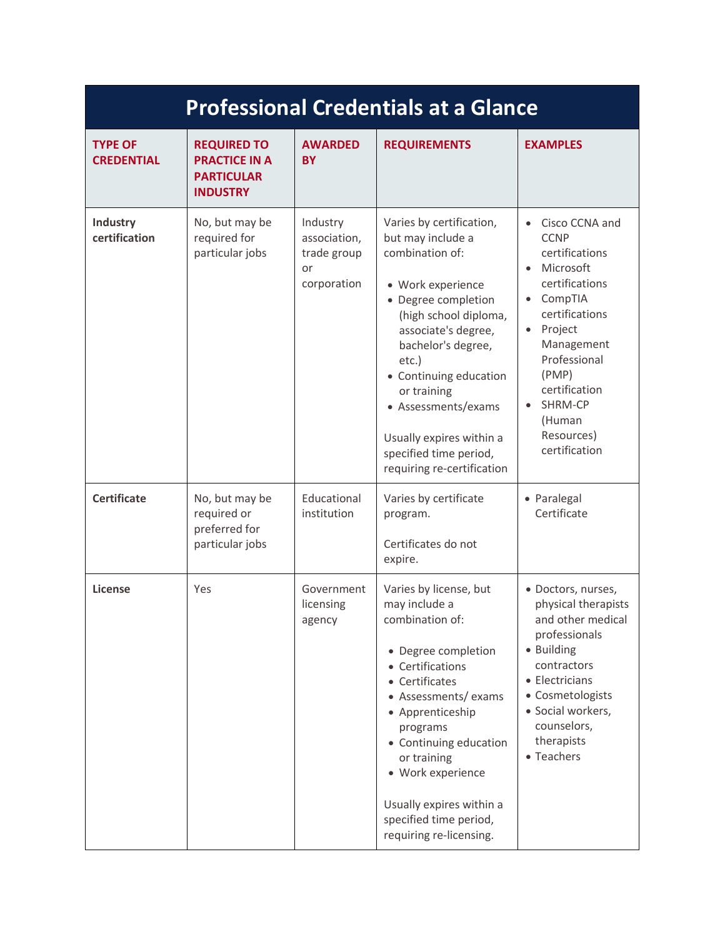| <b>Professional Credentials at a Glance</b> |                                                                                    |                                                              |                                                                                                                                                                                                                                                                                                                                                 |                                                                                                                                                                                                                                                              |  |  |
|---------------------------------------------|------------------------------------------------------------------------------------|--------------------------------------------------------------|-------------------------------------------------------------------------------------------------------------------------------------------------------------------------------------------------------------------------------------------------------------------------------------------------------------------------------------------------|--------------------------------------------------------------------------------------------------------------------------------------------------------------------------------------------------------------------------------------------------------------|--|--|
| <b>TYPE OF</b><br><b>CREDENTIAL</b>         | <b>REQUIRED TO</b><br><b>PRACTICE IN A</b><br><b>PARTICULAR</b><br><b>INDUSTRY</b> | <b>AWARDED</b><br><b>BY</b>                                  | <b>REQUIREMENTS</b>                                                                                                                                                                                                                                                                                                                             | <b>EXAMPLES</b>                                                                                                                                                                                                                                              |  |  |
| <b>Industry</b><br>certification            | No, but may be<br>required for<br>particular jobs                                  | Industry<br>association,<br>trade group<br>or<br>corporation | Varies by certification,<br>but may include a<br>combination of:<br>· Work experience<br>• Degree completion<br>(high school diploma,<br>associate's degree,<br>bachelor's degree,<br>etc.)<br>• Continuing education<br>or training<br>• Assessments/exams<br>Usually expires within a<br>specified time period,<br>requiring re-certification | Cisco CCNA and<br><b>CCNP</b><br>certifications<br>Microsoft<br>$\bullet$<br>certifications<br>CompTIA<br>certifications<br>Project<br>$\bullet$<br>Management<br>Professional<br>(PMP)<br>certification<br>SHRM-CP<br>(Human<br>Resources)<br>certification |  |  |
| <b>Certificate</b>                          | No, but may be<br>required or<br>preferred for<br>particular jobs                  | Educational<br>institution                                   | Varies by certificate<br>program.<br>Certificates do not<br>expire.                                                                                                                                                                                                                                                                             | • Paralegal<br>Certificate                                                                                                                                                                                                                                   |  |  |
| License                                     | Yes                                                                                | Government<br>licensing<br>agency                            | Varies by license, but<br>may include a<br>combination of:<br>• Degree completion<br>• Certifications<br>• Certificates<br>• Assessments/ exams<br>• Apprenticeship<br>programs<br>• Continuing education<br>or training<br>• Work experience<br>Usually expires within a<br>specified time period,<br>requiring re-licensing.                  | · Doctors, nurses,<br>physical therapists<br>and other medical<br>professionals<br>• Building<br>contractors<br>• Electricians<br>• Cosmetologists<br>· Social workers,<br>counselors,<br>therapists<br>• Teachers                                           |  |  |